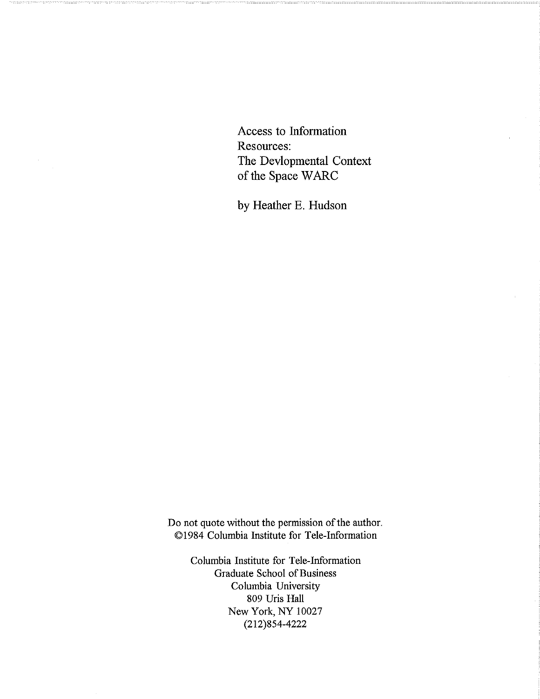Access to Information Resources: The Devlopmental Context of the Space WARC

by Heather E. Hudson

Do not quote without the permission of the author. ©1984 Columbia Institute for Tele-Information

> Columbia Institute for Tele-Information Graduate School of Business Columbia University 809 Uris Hall New York, NY 10027 (212)854-4222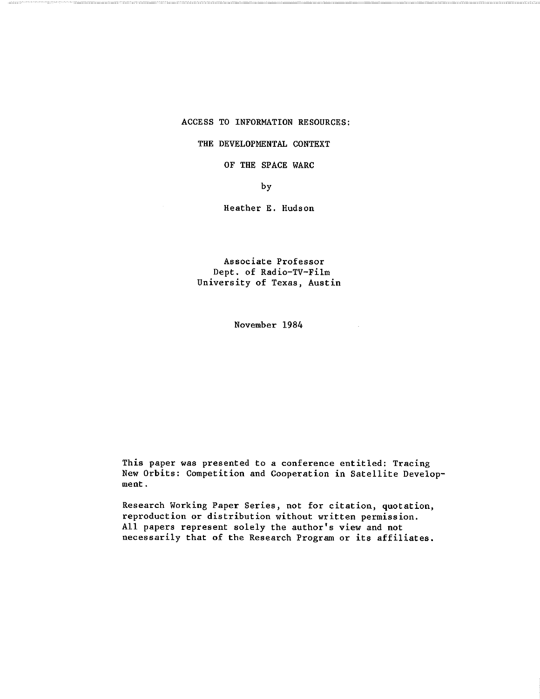ACCESS TO INFORMATION RESOURCES:

## THE DEVELOPMENTAL CONTEXT

# OF THE SPACE WARC

by

Heather E. Hudson

# Associate Professor Dept. of Radio-TV-Film University of Texas, Austin

November 1984

This paper was presented to a conference entitled: Tracing New Orbits: Competition and Cooperation in Satellite Develop**ment.** 

Research Working Paper Series, not for citation, quotation, **reproduction or distribution without written permission.**  All papers represent solely the author's view and not necessarily that of the Research Program or its affiliates.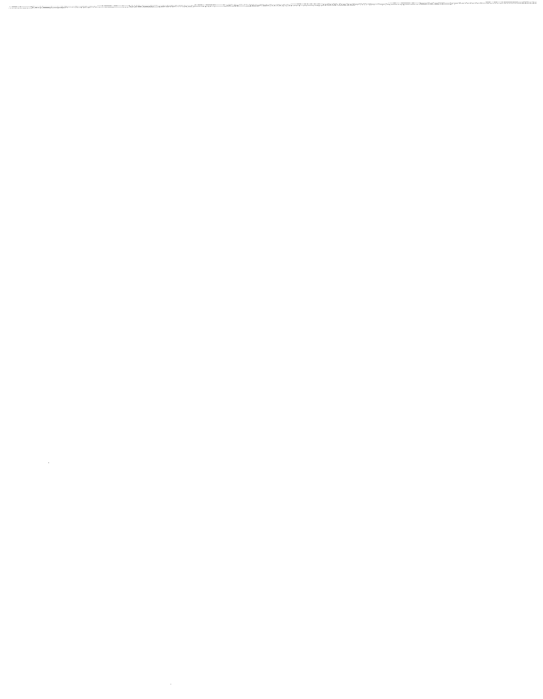$\label{eq:2.1} \frac{1}{\sqrt{2}}\int_{\mathbb{R}^3} \frac{1}{\sqrt{2}}\left(\frac{1}{\sqrt{2}}\right)^2\frac{1}{\sqrt{2}}\left(\frac{1}{\sqrt{2}}\right)^2\frac{1}{\sqrt{2}}\left(\frac{1}{\sqrt{2}}\right)^2.$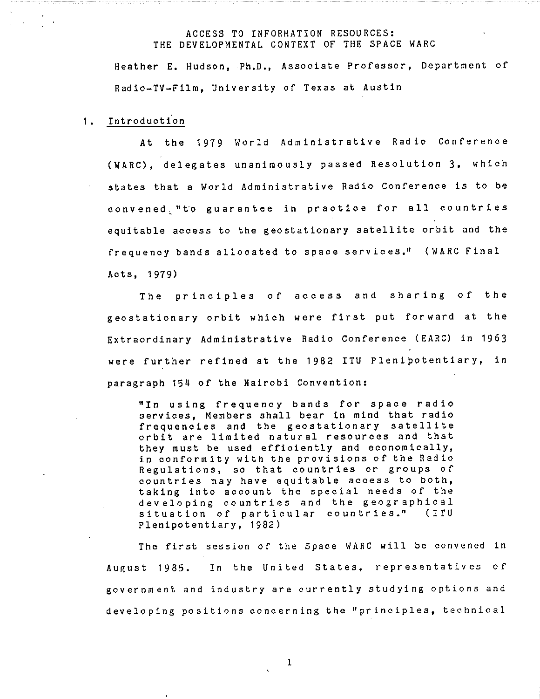## ACCESS TO INFORMATION RESOURCES: THE DEVELOPMENTAL CONTEXT OF THE SPACE WARC

Heather E. Hudson, Ph.D., Associate Professor, Department of Radio-TV-Film, University of Texas at Austin

1. Introduction

At the 1979 World Administrative Radio Conference (WARC), delegates unanimously passed Resolution 3, which states that a World Administrative Radio Conference is to be convened "to guarantee in practice for all countries equitable access to the geostationary satellite orbit and the frequency bands allocated to space services." ( WARC Final Acts, 1979)

The principles of access and sharing of the geostationary orbit which were first put forward at the Extraordinary Administrative Radio Conference (EARC) in 1963 were further refined at the 1982 ITU Plenipotentiary, in paragraph 154 of the Nairobi Convention:

"In using frequency bands for space radio services, Members shall bear in mind that radio frequencies and the geostationary satellite orbit are limited natural resources and that they must be used efficiently and economically, in conformity with the provisions of the Radio Regulations, so that countries or groups of countries may have equitable access to both, taking into account the special needs of the developing countries and the geographical situation of particular countries." (ITU Plenipotentiary, 1982)

The first session of the Space WARC will be convened in August 1985. In the United States, representatives of government and industry are currently studying options and developing positions concerning the "principles, technical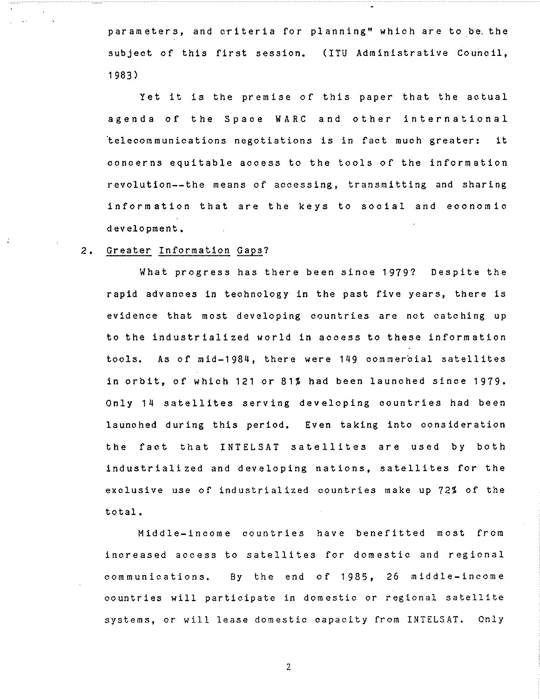parameters, and criteria for planning" which are to be the subject of this first session. (ITU Administrative Council, 1 98 3)

Yet it is the premise of this paper that the actual agenda of the Space WARC and other international telecommunications negotiations is in fact much greater: it concerns equitable access to the tools of the information revolution--the means of accessing, transmitting and sharing information that are the keys to social and economic development.

## 2. Greater Information Gaps?

What progress has there been since 1979? Despite the rapid advances in technology in the past five years, there is evidence that most developing countries are not catching up to the industrialized world in access to these information tools. As of mid-1984, there were 149 commercial satellites in orbit, of which 121 or 81% had been launched since 1979. Only 14 satellites serving developing countries had been launched during this period. Even taking into consideration the fact that INTELSAT satellites are used by both industrialized and developing nations, satellites for the exclusive use of industrialized countries make up 72% of the total.

Middle-income countries have benefitted most from increased access to satellites for domestic and regional communications, By the end of 1985, 26 middle-income countries will participate in domestic or regional satellite systems, or will lease domestic capacity from INTELSAT. Only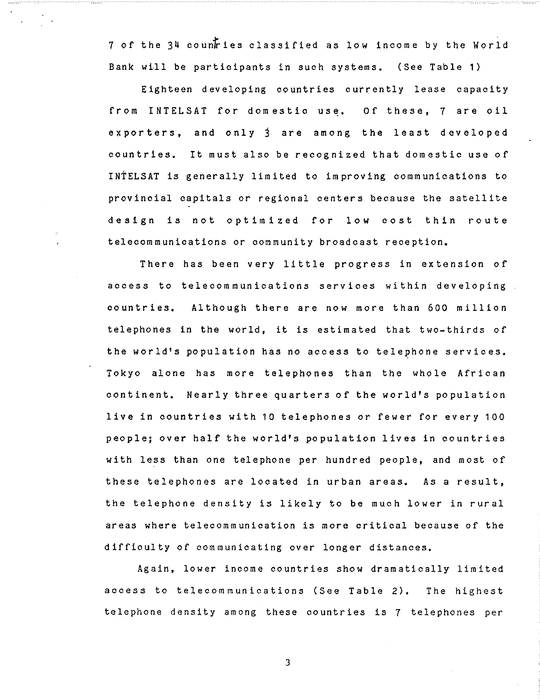7 of the 34 counties classified as low income by the World Bank will be participants in such systems. (See Table 1)

Eighteen developing countries currently lease capaci from INTELSAT for domestic use, Of these, 7 are oi exporters, and only 3 are among the least develo<sub>l</sub> countries. It must also be recognized that domestic use of INTELSAT is generally limited to improving communications to provincial capitals er regional centers because the satellite design is not optimized for low cost thin route telecommunications or community broadcast reception.

There has been very little progress in extension of access to telecommunications services within developing countries. Although there are now more than 600 million telephones in the world, it is estimated that two-thirds of the world's population has no access to telephone services. Tokyo alone has more telephones than the whole African continent. Nearly three quarters of the world's population live in countries with 10 telephones or fewer for every 100 people; over half the world's population lives in countries with less than one telephone per hundred people, and most of these telephones are located in urban areas. As a result, the telephone density is likely to be much lower in rural areas where telecommunication is more critical because of the difficulty of communicating over longer distances.

Again, lower income countries show dramatically limited access to telecommunications (See Table 2), The highest telephone density among these countries is 7 telephones per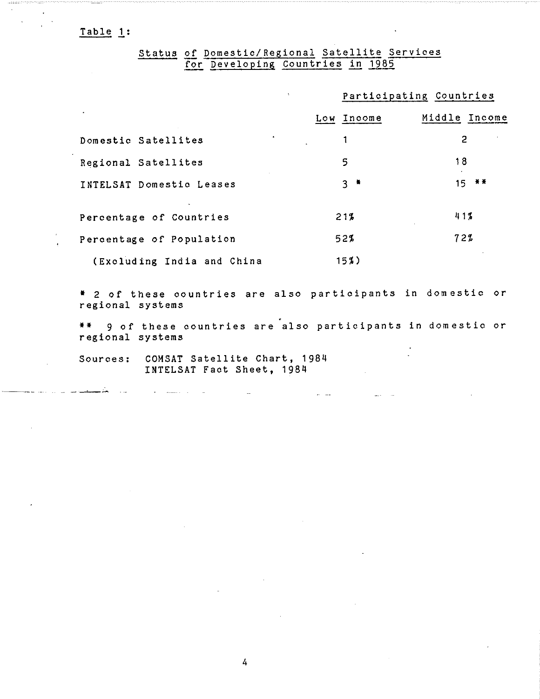Table l:

المنارب الكاكسيتين

# Status of Domestic/Regional Satellite Services for Developing Countries in 1985

| $\sim$                     |            | Participating Countries |  |
|----------------------------|------------|-------------------------|--|
|                            | Low Income | Middle Income           |  |
| Domestic Satellites        |            | 2                       |  |
| Regional Satellites        | 5          | 18                      |  |
| INTELSAT Domestic Leases   | $3*$       | - 美美<br>15 <sub>1</sub> |  |
| Percentage of Countries    | 21%        | 41%                     |  |
| Percentage of Population   | 52%        | 72%                     |  |
| (Excluding India and China | 153)       |                         |  |

• 2 of these countries are also participants in domestic or regional systems

\*\* 9 of these countries are also participants in domestic er regional systems

 $\omega_{\rm c}$  and

Sources: COMSAT Satellite Chart, 1984 INTELSAT Fact Sheet, 1984

 $\mathcal{L}=\mathcal{L}^{\mathrm{max}}$  , where  $\mathcal{L}^{\mathrm{max}}$ 

 $\sim$ 

المنافسية المستقلة المتعارف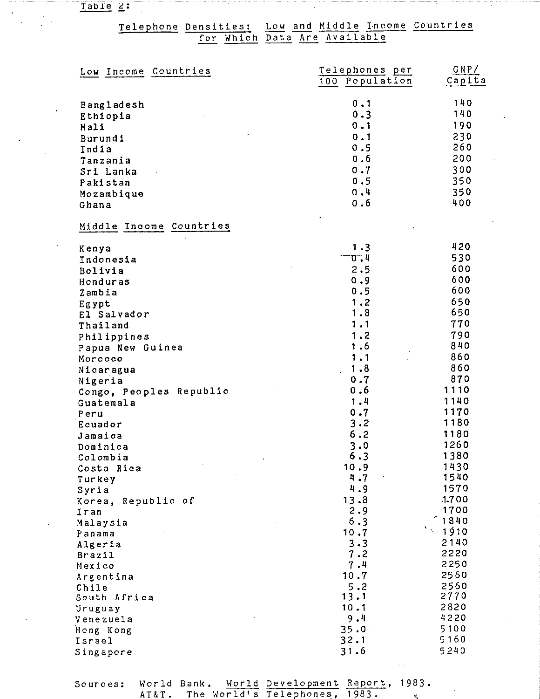# Table 2:

|                          | Telephone Densities: Low and Middle Income Countries<br>for Which Data Are Available |                |
|--------------------------|--------------------------------------------------------------------------------------|----------------|
| Low Income Countries     | Telephones per<br>100 Population                                                     | GNP/<br>Capita |
| Bangladesh<br>Ethiopia   | 0.1<br>0.3                                                                           | 140<br>140     |
| Mali                     | 0.1                                                                                  | 190            |
| Burundi                  | 0.1                                                                                  | 230            |
| India                    | 0.5                                                                                  | 260            |
| Tanzania                 | 0.6                                                                                  | 200            |
| Sri Lanka                | 0.7                                                                                  | 300            |
| Pakistan                 | 0.5                                                                                  | 350            |
| Mozambique               | 0.4                                                                                  | 350            |
| Ghana                    | 0.6                                                                                  | 400            |
| Middle Income Countries. |                                                                                      |                |
| Kenya                    | 1.3<br>$\overline{0}$ .4                                                             | 420<br>530     |
| Indonesia                | 2.5                                                                                  | 600            |
| Bolivia<br>Honduras      | 0.9                                                                                  | 600            |
| Zambia                   | 0.5                                                                                  | 600            |
| Egypt                    | 1.2                                                                                  | 650            |
| El Salvador              | 1.8                                                                                  | 650            |
| Thailand                 | 1.1                                                                                  | 770            |
| Philippines              | 1.2                                                                                  | 790            |
| Papua New Guinea         | 1.6                                                                                  | 840            |
| Morocco                  | 1.1                                                                                  | 860            |
| Nicaragua                | 1.8                                                                                  | 860            |
| Nigeria                  | 0.7                                                                                  | 870            |
| Congo, Peoples Republic  | 0.6                                                                                  | 1110           |
| Guatemala                | 1.4                                                                                  | 1140           |
| Peru                     | 0.7                                                                                  | 1170<br>1180   |
| Ecuador                  | 3.2<br>6.2                                                                           | 1180           |
| Jamaica                  | 3.0                                                                                  | 1260           |
| Dominica<br>Colombia     | 6.3                                                                                  | 1380           |
| Costa Rica               | 10.9                                                                                 | 1430           |
| Turkey                   | 4.7                                                                                  | 1540           |
| Syria                    | 4.9                                                                                  | 1570           |
| Korea, Republic of       | 13.8                                                                                 | .1700          |
| Iran                     | 2.9                                                                                  | 1700           |
| Malaysia                 | 6.3                                                                                  | $1840$         |
| Panama                   | 10.7                                                                                 | $\sim$ 1910    |
| Algeria                  | $3 - 3$                                                                              | 2140           |
| Brazil                   | $7 - 2$                                                                              | 2220           |
| Mexico                   | 7.4<br>10.7                                                                          | 2250<br>2560   |
| Argentina<br>Chile       | $5 - 2$                                                                              | 2560           |
| South Africa             | 13.1                                                                                 | 2770           |
| Uruguay                  | 10.1                                                                                 | 2820           |
| Venezuela                | 9.4                                                                                  | 4220           |
| Hong Kong                | 35.0                                                                                 | 5100           |
| Israel                   | 32.1                                                                                 | 5160           |
| Singapore                | 31.6                                                                                 | 5240           |
|                          |                                                                                      |                |

|  |  | Sources: World Bank. World Development Report, 1983. |  |
|--|--|------------------------------------------------------|--|
|  |  | AT&T. The World's Telephones, 1983.                  |  |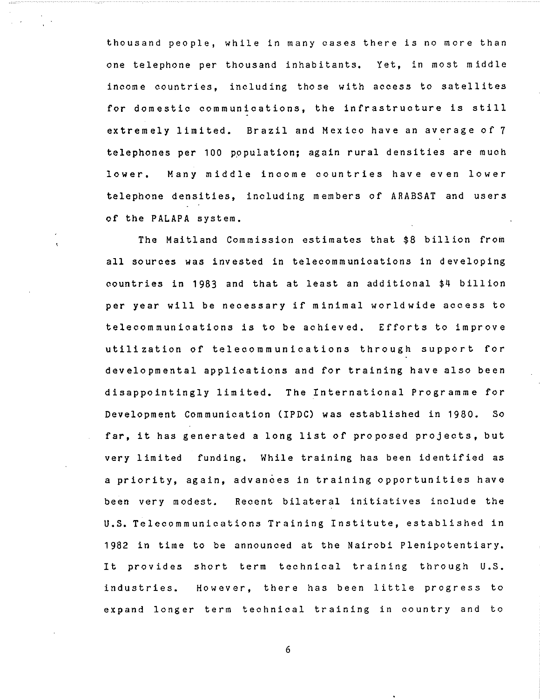thousand people, while in many oases there is no more than one telephone per thousand inhabitants, Yet, in most middle income countries, including those with access to satellites for domestic communications, the infrastructure is still extremely limited, Brazil and Mexico have an average of 7 telephones per 100 population; again rural densities are much lower, Many middle income countries have even lower telephone densities, including members of ARABSAT and users of the PALAPA system,

The Maitland Commission estimates that \$8 billion from all sources was invested in telecommunications in developing oountries in 1983 and that at least an additional \$4 billion per year will be necessary if minimal worldwide access to telecommunications is to be achieved, Efforts to improve utilization of telecommunications through support for developmental applications and for training have also been disappointingly limited, The International Programme for Development Communication (IPDC) was established in 1980. So far, it has generated a long list of proposed projects, but very limited funding, While training has been identified as a priority, again, advances in training opportunities have been very modest, Recent bilateral initiatives include the U,S, Telecommunications Training Institute, established in 1982 in time to be announced at the Nairobi Plenipotentiary. It provides short term technical training through U.S. industries. However, there has been little progress to expand longer term technical training in country and to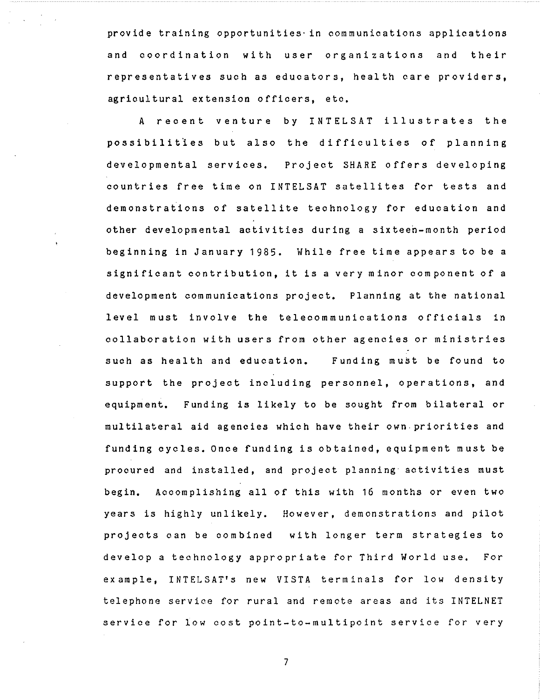provide training opportunities· in communications applications and coordination with user organizations and their representatives such as educators, health care providers, agricultural extension officers, etc.

A recent venture by INTELSAT illustrates the possibilitles but also the difficulties of planning developmental services. Project SHARE offers developing countries free time on INTELSAT satellites for tests and demonstrations of satellite technology for education and other developmental activities during a sixteen-month period beginning in January 1985. While free time appears to be a significant contribution, it is a very minor component of a development communications project. Planning at the national level must involve the telecommunications officials in collaboration with users from other agencies or ministries such as health and education. Funding must be found to support the project including personnel, operations, and equipment. Funding is likely to be sought from bilateral or multilateral aid agencies which have their own priorities and funding cycles, Once funding is obtained, equipment must be procured and installed, and project planning activities must begin. Accomplishing all of this with 16 months or even two years is highly unlikely, However, demonstrations and pilot projects can be combined with longer term strategies to develop a technology appropriate for Third World use. For example, INTELSAT'S new VISTA terminals for low density telephone service for rural and remote areas and its INTELNET service for low cost point-to-multipoint service for very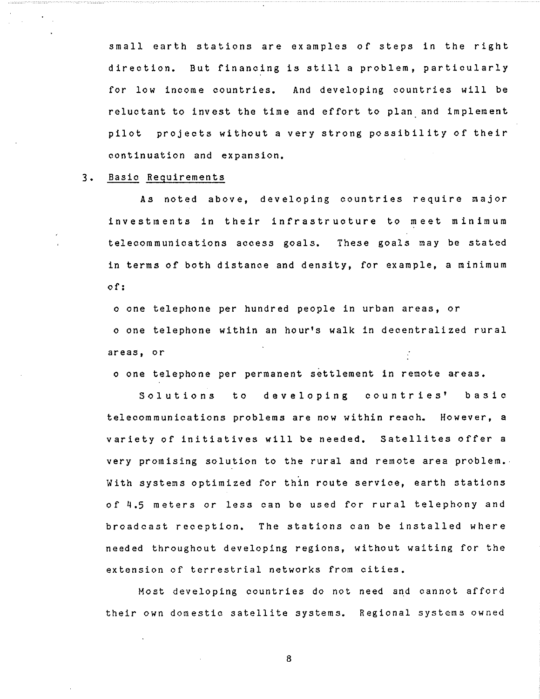small earth stations are examples of steps in the right direction. But financing is still a problem, particularly for low income oountries. And developing countries will be reluctant to invest the time and effort to plan\_ and implement pilot projects without a very strong possibility of their continuation and expansion.

#### 3. Basic Requirements

As noted above, developing countries require major investments in their infrastructure to meet minimum telecommunications access goals, These goals may be stated in terms of both distance and density, for example, a minimum of:

o one telephone per hundred people in urban areas, or o one telephone within an hour's walk in decentralized rural areas, or

o one telephone per permanent settlement in remote areas.

Solutions to developing countries' basic telecommunications problems are now within reach. However, a variety of initiatives will be needed. Satellites offer a very promising solution to the rural and remote area problem. With systems optimized for thin route service, earth stations of 4,5 meters or less can be used for rural telephony and broadcast reception. The stations can be installed where needed throughout developing regions, without waiting for the extension of terrestrial networks from cities.

Most developing countries do not need and cannot afford their own domestic satellite systems. Regional systems owned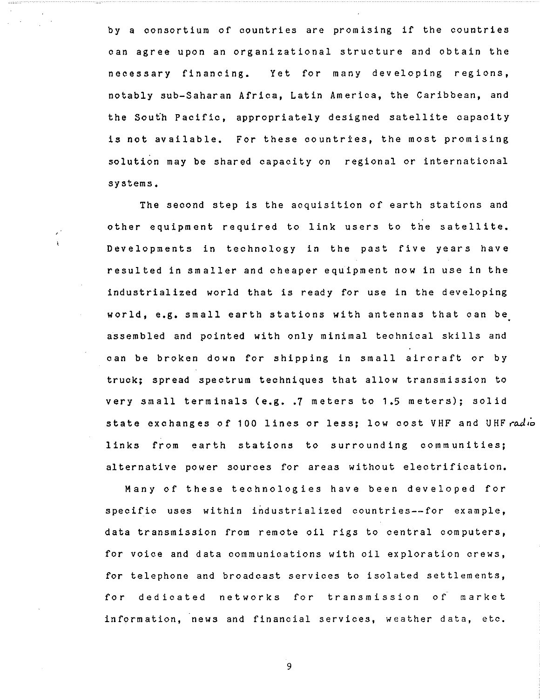by a consortium of countries are promising if the countries can agree upon an organizational structure and obtain the necessary financing. Yet for many developing regions, notably sub-Saharan Africa, Latin America, the Caribbean, and the South Pacific, appropriately designed satellite capacity is not available. For these countries, the most promising solution may be shared capacity on regional or international systems.

The second step is the acquisition of earth stations and other equipment required to link users to the satellite. Developments in technology in the past five years have resulted in smaller and cheaper equipment now in use in the industrialized world that is ready for use in the developing world, e.g. small earth stations with antennas that can be assembled and pointed with only minimal technical skills and can be broken down for shipping in small aircraft or by truck; spread spectrum techniques that allow transmission to very small terminals (e.g. .7 meters to 1.5 meters); solid state exchanges of 100 lines or less; low cost VHF and UHF radio links from earth stations to surrounding communities; alternative power sources for areas without electrification.

Many of these technologies have been developed for specific uses within industrialized countries--for example, data transmission from remote oil rigs to central computers, for voice and data communications with oil exploration crews, for telephone and broadcast services to isolated settlements, for dedicated networks for transmission of market information, news and financial services, weather data, etc.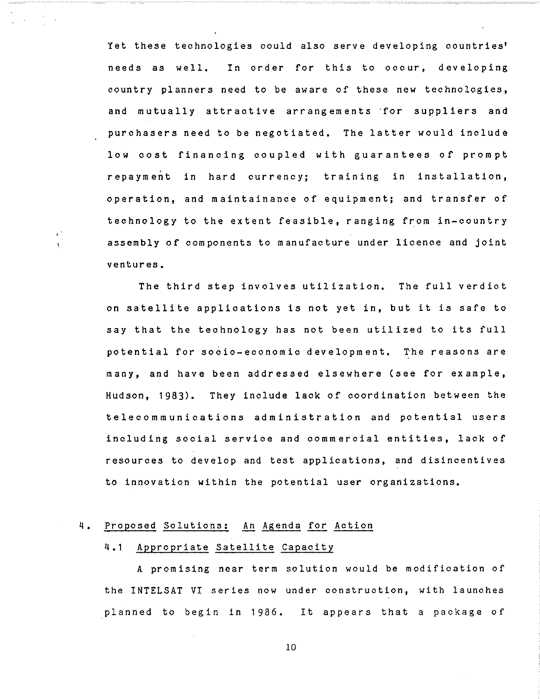Yet these technologies could also serve developing countries' needs as well. In order for this to occur, developing country planners need to be aware of these new technologies, and mutually attractive arrangements ·for suppliers and purchasers need to be negotiated. The latter would include low cost financing coupled with guarantees of prompt repayment in hard currency; training in installation, operation, and maintainance of equipment; and transfer of technology to the extent feasible, ranging from in-country assembly of components to manufacture under licence and joint ventures.

The third step involves utilization. The full verdict on satellite applications is not yet in, but it is safe to say that the technology has not been utilized to its full potential for socio-economic development. The reasons are many, and have been addressed elsewhere (see for example, Hudson, 1983). They include lack of coordination between the telecommunications administration and potential users including social service and commercial entities, lack of resources to develop and test applications, and disincentives to innovation within the potential user organizations.

# 4. Proposed Solutions: An Agenda for Action

4.1 Appropriate Satellite Capacity

A promising near term solution would be modification of the INTELSAT VI series now under construction, with launches planned to begin in 1986. It appears that a package of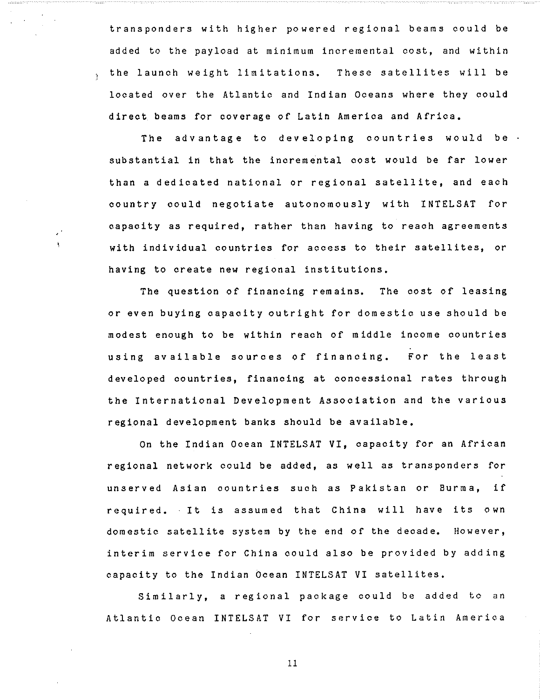transponders with higher powered regional beams oould be added to the payload at minimum inoremental oost, and within the launoh weight limitations. These satellites will be  $\Delta \sim$ looated over the Atlantio and Indian Ooeans where they oould direot beams for ooverage of Latin Amerioa and Afrioa,

The advantage to developing countries would be. substantial in that the inoremental cost would be far lower than a dedioated national or regional satellite, and eaoh oountry could negotiate autonomously with INTELSAT for capaoity as required, rather than having to reach agreements with individual oountries for aocess to their satellites, or having to create new regional institutions.

The question of financing remains. The oost of leasing or even buying oapacity outright for domestic use should be modest enough to be within reaoh of middle income countries using available sources of financing. For the least developed countries, financing at concessional rates through the International Development Association and the various regional development banks should be available,

On the Indian Ooean INTELSAT VI, capacity for an African regional network could be added, as well as transponders for unserved Asian oountries such as Pakistan or Burma, if required. It is assumed that China will have its own domestic satellite system by the end of the decade. However, interim service for China could also be provided by adding capacity to the Indian Ooean INTELSAT VI satellites.

Similarly, a regional package could be added to an Atlantic Ocean INTELSAT VI for servioe to Latin America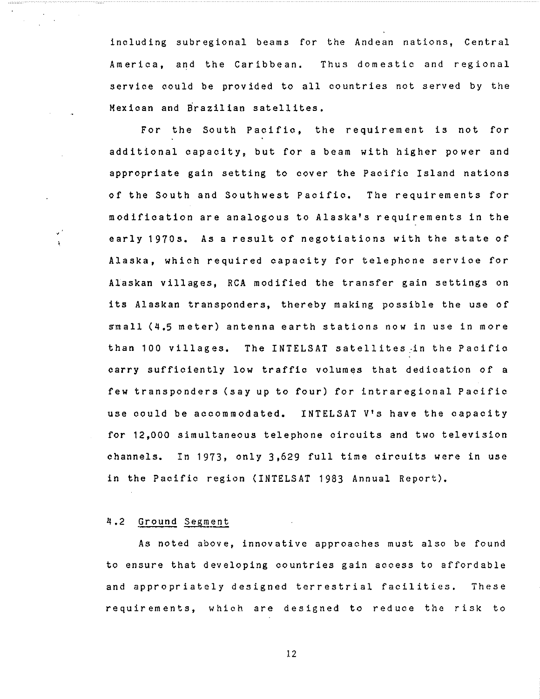including subregional beams for the Andean nations, Central America, and the Caribbean. Thus domestic and regional service could be provided to all countries not served by the Mexican and Brazilian satellites,

For the South Pacific, the requirement is not for additional capacity, but for a beam with higher power and appropriate gain setting to cover the Pacific Island nations of the South and Southwest Pacific, The requirements for modification are analogous to Alaska's requirements in the early 1970s, As a result of negotiations with the state of Alaska, which required capacity for telephone service for Alaskan villages, RCA modified the transfer gain settings on its Alaskan transponders, thereby making possible the use of small (4.5 meter) antenna earth stations now in use in more than 100 villages, The INTELSAT satellites,in the Pacific carry sufficiently low traffic volumes that dedication of a few transponders (say up to four) for intraregional Pacific use could be accommodated, INTELSAT V's have the capacity for 12,000 simultaneous telephone circuits and two television channels. In 1973, only 3,629 full time circuits were in use in the Pacific region (INTELSAT 1983 Annual Report),

# 4.2 Ground Segment

As noted above, innovative approaches must also be found to ensure that developing countries gain access to affordable and appropriately designed terrestrial facilities, These requirements, which are designed to reduce the risk to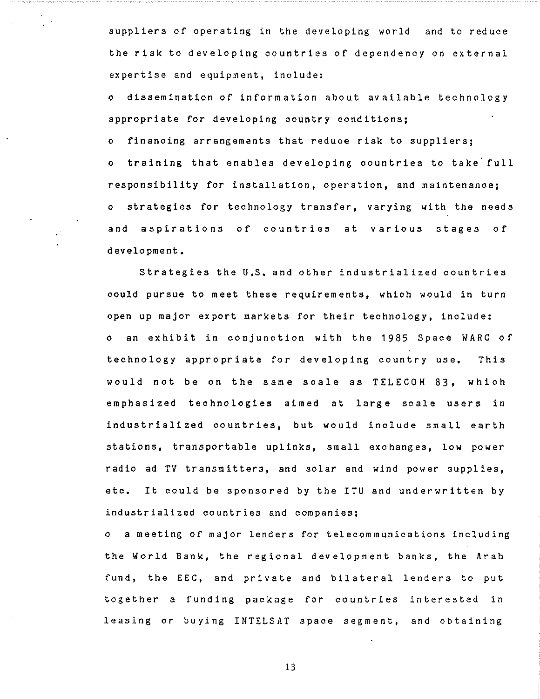suppliers of operating in the developing world and to reduce the risk to developing countries of dependency on external expertise and equipment, include:

o dissemination of information about available technology appropriate for developing country conditions;

o financing arrangements that reduce risk to suppliers; o training that enables developing countries to take full responsibility for installation, operation, and maintenance; o strategies for technology transfer, varying with the needs and aspirations of countries at various stages of development.

Strategies the U.S. and other industrialized countries could pursue to meet these requirements, which would in turn open up major export markets for their technology, include: o an exhibit in conjunction with the 1985 Space WARC of technology appropriate for developing country use. This would not be on the same scale as TELECOM 83, which emphasized technologies aimed at large scale users in industrialized countries, but would include small earth stations, transportable uplinks, small exchanges, low power radio ad TV transmitters, and solar and wind power supplies, etc. It could be sponsored by the ITU and underwritten by industrialized countries and companies;

o a meeting of major lenders for telecommunications including the World Bank, the regional development banks, the Arab fund, the EEC, and private and bilateral lenders to put together a funding package for countries interested in leasing or buying INTELSAT space segment, and obtaining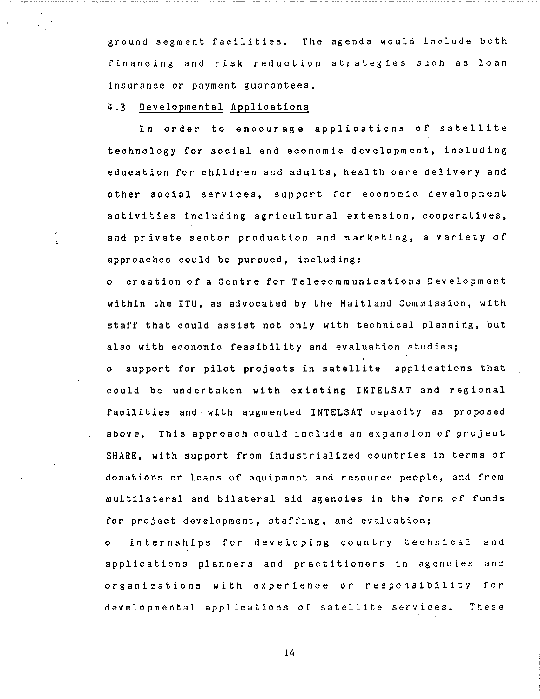ground segment facilities. The agenda would include both financing and risk reduction strategies such as loan insurance or payment guarantees.

## 4.3 Developmental Applications

In order to encourage applications of satellite technology for social and economic development, including education for children and adults, health care delivery and other social services, support for economic development activities including agricultural extension, cooperatives, and private sector production and marketing, a variety of approaches could be pursued, including:

o creation of a Centre for Telecommunications Development within the ITU, as advocated by the Maitland Commission, with staff that could assist not only with technical planning, but also with economic feasibility and evaluation studies;

o support for pilot projects in satellite applications that could be undertaken with existing INTELSAT and regional facilities and with augmented INTELSAT capacity as proposed above. This approach could include an expansion of project SHARE, with support from industrialized countries in terms of donations or loans of equipment and resource people, and from multilateral and bilateral aid agencies in the form of funds for project development, staffing, and evaluation;

o internships for developing country technical and applications planners and practitioners in agencies and organizations with experience or responsibility for developmental applications of satellite services. These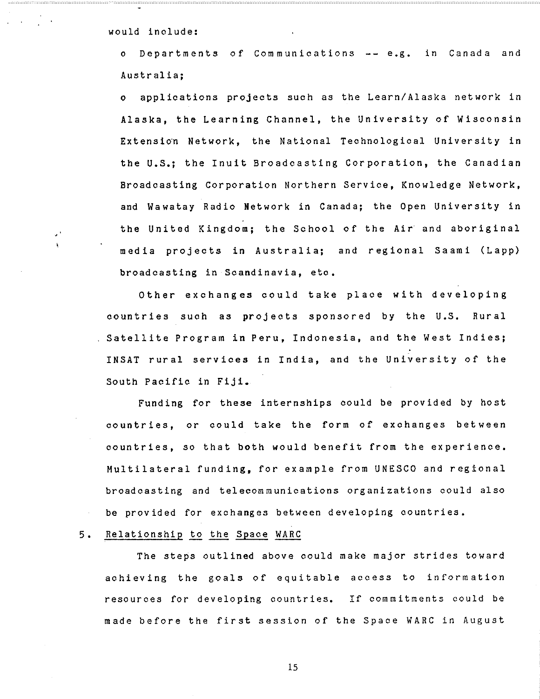would include:

o Departments of Communications -- e.g. in Canada and Australia;

o applications projects such as the Learn/Alaska network in Alaska, the Learning Channel, the University of Wisconsin Extension Network, the National Technological University in the U.S.; the Inuit Broadcasting Corporation, the Canadian Broadcasting Corporation Northern Service, Knowledge Network, and Wawatay Radio Network in Canada; the Open University in the United Kingdom; the School of the Air and aboriginal media projects in Australia; and regional Saami (Lapp) broadcasting in Scandinavia, etc.

Other exchanges could take place with develop countries such as projects sponsored by the U.S. Rural Satellite Program in Peru, Indonesia, and the West Indies; INSAT rural services in India, and the University of the South Pacific in Fiji.

Funding for these internships could be provided by host countries, or could take the form of exchanges between countries, so that both would benefit from the experience. Multilateral funding, for example from UNESCO and regional broadcasting and telecommunications organizations could also be provided for exchanges between developing countries.

## 5. Relationship to the Space WARC

The steps outlined above could make major strides toward achieving the goals of equitable access to information resources for developing countries. If commitments could be made before the first session of the Space WARC in August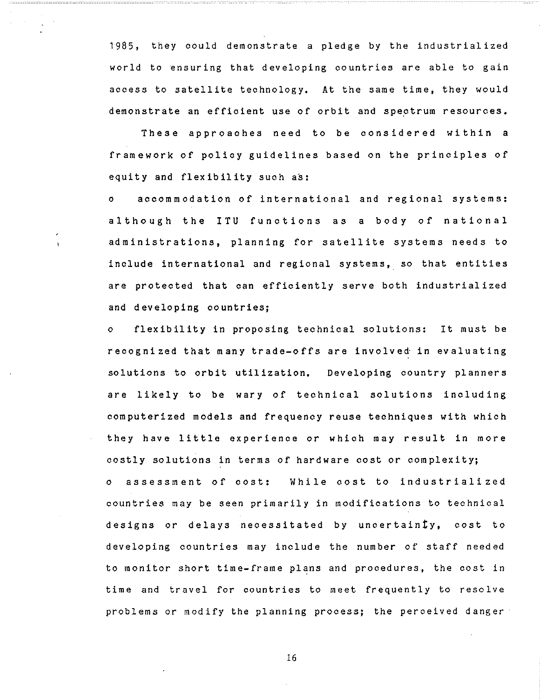1985, they could demonstrate a pledge by the industrialized world to ensuring that developing countries are able to gain access to satellite technology. At the same time, they would demonstrate an efficient use of orbit and spectrum resources.

These approaches need to be considered within a framework of policy guidelines based on the principles of equity and flexibility such as:

o accommodation of international and regional system although the ITU functions as a body of natio administrations, planning for satellite systems needs to include international and regional systems, so that entities are protected that can efficiently serve both industrialized and developing countries;

o flexibility in proposing technical solutions: It must be recognized that many trade-offs are involved in evaluating solutions to orbit utilization. Developing country planners are likely to be wary of technical solutions including computerized models and frequency reuse techniques with which they have little experience or which may result in more costly solutions in terms of hardware cost or complexity; o assessment of cost: While cost to industrialized countries may be seen primarily in modifications to technical designs or delays necessitated by uncertainty, cost to developing countries may include the number of staff needed to monitor short time-frame plans and procedures, the cost in time and travel for countries to meet frequently to resolve problems or modify the planning process; the perceived danger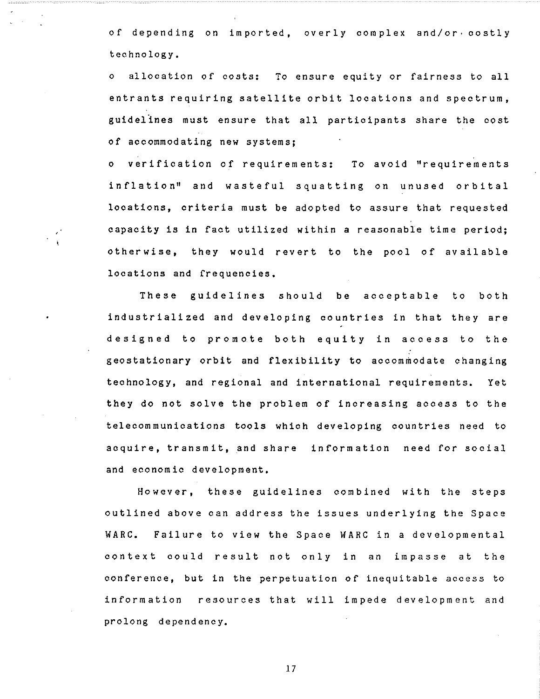of depending on imported, overly complex and/or costly technology.

o allocation of costs: To ensure equity or fairness to all entrants requiring satellite orbit locations and spectrum, guidelines must ensure that all participants share the cost of accommodating new systems;

o verification of requirements: To avoid "requirements inflation" and wasteful squatting on unused orbital locations, criteria must be adopted to assure that requested capacity is in fact utilized within a reasonable time period; otherwise, they would revert to the pool of available locations and frequencies.

These guidelines should be acceptable to both industrialized and developing countries in that they are designed to promote both equity in access to the geostationary orbit and flexibility to accommodate changing technology, and regional and international requirements. Yet they do not solve the problem of increasing access to the telecommunications tools which developing countries need to acquire, transmit, and share information need for social and economic development.

However, these guidelines combined with the steps outlined above can address the issues underlying the Space WARC. Failure to **view** the Space WARC in a developmental context could result not only in an impasse at the conference, but in the perpetuation of inequitable access to information resources that will impede development and prolong dependency.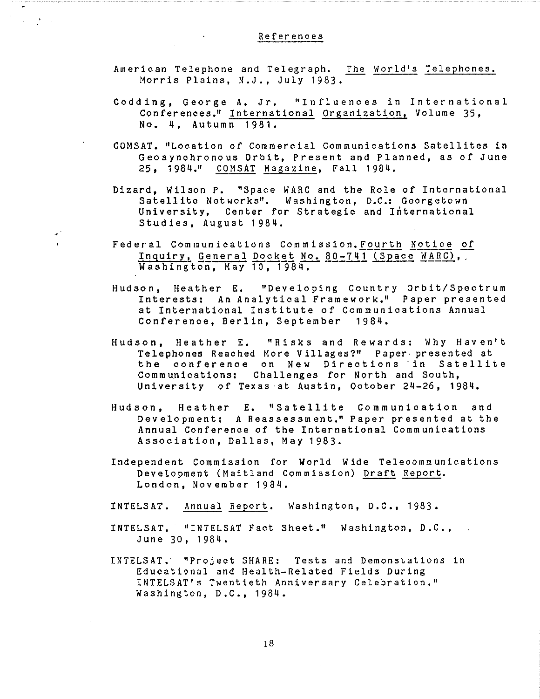## References

÷.

 $\mathcal{L}^{\text{max}}_{\text{max}}$  .

 $\varphi^{(1)}$ 

- American Telephone and Telegraph. The World's Telephones. Morris Plains, N.J., July 1983.
- Codding, George A. Jr. "Influences in International Conferences." International Organization, Volume 35, No. 4, Autumn 1981.
- COMSAT. "Location of Commercial Communications Satellites in Geosynchronous Orbit, Present and Planned, as of June 25, 1984." COMSAT Magazine, Fall 1984.
- Dizard, Wilson P. "Space WARC and the Role of International Satellite Networks". Washington, D.C.: Georgetown University, Center for Strategic and International Studies, August 1984.
- Federal Communications Commission. Fourth Notice of Inquiry, General Docket No. 80-741 (Space WARC),. Washington, May 10, 1984.
- Hudson, Heather E. "Developing Country Orbit/Spectrum Interests: An Analytical Framework." Paper presented at International Institute of Communications Annual Conference, Berlin, September 1984.
- Hudson, Heather E. "Risks and Rewards: Why Haven't Telephones Reached More Villages?" Paper- presented at the conference on New Directions 'in Satellite Communications: Challenges for North and South, University of Texas at Austin, October 24-26, 1984.
- Hudson, Heather E. "Satellite Communication and Development: A Reassessment." Paper presented at the Annual Conference of the International Communications Association, Dallas, May 1983.
- Independent Commission for World Wide Telecommunications Development (Maitland Commission) Draft Report. London, November 1984.
- INTELSAT. Annual Report. Washington, D,C., 1983.
- INTELSAT. "INTELSAT Fact Sheet." Washington, D.C., June 30, 1984.
- INTELSAT. "Project SHARE: Tests and Demonstations in Educational and Health-Related Fields During INTELSAT's Twentieth Anniversary Celebration." Washington, D.C., 1984.